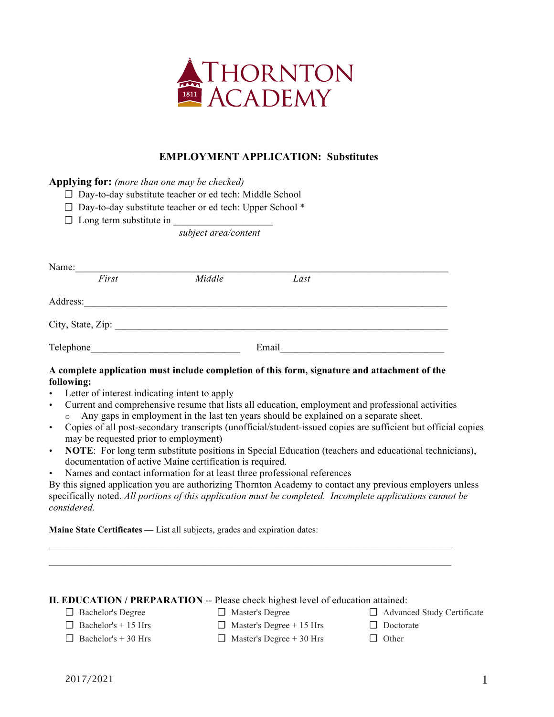

# **EMPLOYMENT APPLICATION: Substitutes**

**Applying for:** *(more than one may be checked)*

☐ Day-to-day substitute teacher or ed tech: Middle School

☐ Day-to-day substitute teacher or ed tech: Upper School \*

 $\Box$  Long term substitute in

*subject area/content*

| Name:             |       |        |       |  |
|-------------------|-------|--------|-------|--|
|                   | First | Middle | Last  |  |
| Address:          |       |        |       |  |
| City, State, Zip: |       |        |       |  |
| Telephone         |       |        | Email |  |

### **A complete application must include completion of this form, signature and attachment of the following:**

- Letter of interest indicating intent to apply
- Current and comprehensive resume that lists all education, employment and professional activities o Any gaps in employment in the last ten years should be explained on a separate sheet.
- Copies of all post-secondary transcripts (unofficial/student-issued copies are sufficient but official copies may be requested prior to employment)
- **NOTE**: For long term substitute positions in Special Education (teachers and educational technicians), documentation of active Maine certification is required.
- Names and contact information for at least three professional references

By this signed application you are authorizing Thornton Academy to contact any previous employers unless specifically noted. *All portions of this application must be completed. Incomplete applications cannot be considered.* 

**Maine State Certificates —** List all subjects, grades and expiration dates:

### **II. EDUCATION / PREPARATION** -- Please check highest level of education attained:

- ☐ Bachelor's Degree
- ☐ Master's Degree
- ☐ Advanced Study Certificate
- $\Box$  Bachelor's + 15 Hrs  $\Box$  Bachelor's + 30 Hrs
- $\Box$  Master's Degree + 15 Hrs

 $\Box$  Master's Degree + 30 Hrs

□ Doctorate □ Other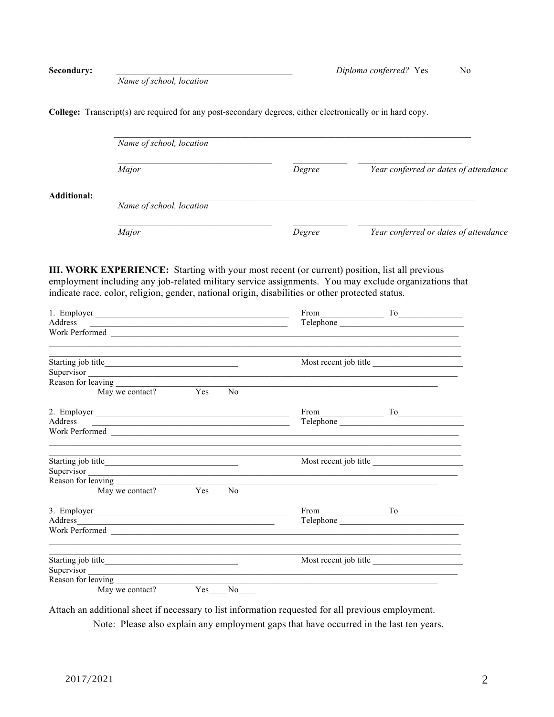*Name of school, location*

**College:** Transcript(s) are required for any post-secondary degrees, either electronically or in hard copy.

|                    | Name of school, location |        |                                       |  |  |  |
|--------------------|--------------------------|--------|---------------------------------------|--|--|--|
|                    | Major                    | Degree | Year conferred or dates of attendance |  |  |  |
| <b>Additional:</b> | Name of school, location |        |                                       |  |  |  |
|                    | Major                    | Degree | Year conferred or dates of attendance |  |  |  |

**III. WORK EXPERIENCE:** Starting with your most recent (or current) position, list all previous employment including any job-related military service assignments. You may exclude organizations that indicate race, color, religion, gender, national origin, disabilities or other protected status.

| 1. Employer                                                                                                                                                                                                                    |  |    | $From $ To            |                       |  |
|--------------------------------------------------------------------------------------------------------------------------------------------------------------------------------------------------------------------------------|--|----|-----------------------|-----------------------|--|
|                                                                                                                                                                                                                                |  |    |                       |                       |  |
| Work Performed                                                                                                                                                                                                                 |  |    |                       |                       |  |
| the control of the control of the control of the control of the control of the control of the control of the control of the control of the control of the control of the control of the control of the control of the control  |  |    |                       | Most recent job title |  |
| Supervisor                                                                                                                                                                                                                     |  |    |                       |                       |  |
|                                                                                                                                                                                                                                |  |    |                       |                       |  |
| May we contact? Yes No                                                                                                                                                                                                         |  |    |                       |                       |  |
| 2. Employer                                                                                                                                                                                                                    |  |    |                       | $From$ $To$           |  |
| Address<br><u> 1980 - Johann Stein, fransk politiker (d. 1980)</u>                                                                                                                                                             |  |    |                       |                       |  |
|                                                                                                                                                                                                                                |  |    |                       |                       |  |
|                                                                                                                                                                                                                                |  |    | Most recent job title |                       |  |
|                                                                                                                                                                                                                                |  |    |                       |                       |  |
|                                                                                                                                                                                                                                |  |    |                       |                       |  |
| May we contact? Yes No                                                                                                                                                                                                         |  |    |                       |                       |  |
| 3. Employer                                                                                                                                                                                                                    |  |    |                       | $From \_$ To          |  |
| Address and the contract of the contract of the contract of the contract of the contract of the contract of the contract of the contract of the contract of the contract of the contract of the contract of the contract of th |  |    |                       |                       |  |
| Work Performed                                                                                                                                                                                                                 |  |    |                       |                       |  |
|                                                                                                                                                                                                                                |  |    | Most recent job title |                       |  |
| Supervisor                                                                                                                                                                                                                     |  |    |                       |                       |  |
|                                                                                                                                                                                                                                |  |    |                       |                       |  |
| May we contact? Yes                                                                                                                                                                                                            |  | No |                       |                       |  |

Attach an additional sheet if necessary to list information requested for all previous employment.

Note: Please also explain any employment gaps that have occurred in the last ten years.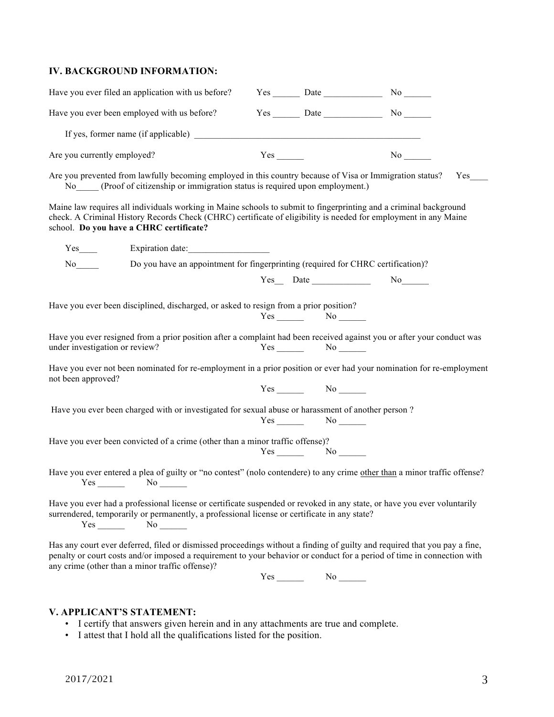### **IV. BACKGROUND INFORMATION:**

| Have you ever filed an application with us before?                                                                                                                                                                                                                                                                               |  | $Yes$ Date $\_\_\_\_\$ No $\_\_\_\_\$ |  |  |  |  |  |
|----------------------------------------------------------------------------------------------------------------------------------------------------------------------------------------------------------------------------------------------------------------------------------------------------------------------------------|--|---------------------------------------|--|--|--|--|--|
| Have you ever been employed with us before?                                                                                                                                                                                                                                                                                      |  | $Yes$ Date $\_\_\_\_\$ No $\_\_\_\_\$ |  |  |  |  |  |
| If yes, former name (if applicable)                                                                                                                                                                                                                                                                                              |  |                                       |  |  |  |  |  |
| Are you currently employed?                                                                                                                                                                                                                                                                                                      |  |                                       |  |  |  |  |  |
| Are you prevented from lawfully becoming employed in this country because of Visa or Immigration status?<br>Yes<br>No (Proof of citizenship or immigration status is required upon employment.)                                                                                                                                  |  |                                       |  |  |  |  |  |
| Maine law requires all individuals working in Maine schools to submit to fingerprinting and a criminal background<br>check. A Criminal History Records Check (CHRC) certificate of eligibility is needed for employment in any Maine<br>school. Do you have a CHRC certificate?                                                  |  |                                       |  |  |  |  |  |
|                                                                                                                                                                                                                                                                                                                                  |  |                                       |  |  |  |  |  |
| Do you have an appointment for fingerprinting (required for CHRC certification)?<br>$No$ <sub>______</sub>                                                                                                                                                                                                                       |  |                                       |  |  |  |  |  |
|                                                                                                                                                                                                                                                                                                                                  |  | $Yes$ Date  No $\sim$                 |  |  |  |  |  |
| Have you ever been disciplined, discharged, or asked to resign from a prior position?<br>$Yes$ No $N$                                                                                                                                                                                                                            |  |                                       |  |  |  |  |  |
| Have you ever resigned from a prior position after a complaint had been received against you or after your conduct was<br>under investigation or review?                                                                                                                                                                         |  | $Yes$ No $N$                          |  |  |  |  |  |
| Have you ever not been nominated for re-employment in a prior position or ever had your nomination for re-employment<br>not been approved?                                                                                                                                                                                       |  |                                       |  |  |  |  |  |
|                                                                                                                                                                                                                                                                                                                                  |  | $Yes$ No $\_\_$                       |  |  |  |  |  |
| Have you ever been charged with or investigated for sexual abuse or harassment of another person?                                                                                                                                                                                                                                |  | $Yes$ No $No$                         |  |  |  |  |  |
| Have you ever been convicted of a crime (other than a minor traffic offense)?<br>$Yes$ No $N$                                                                                                                                                                                                                                    |  |                                       |  |  |  |  |  |
| Have you ever entered a plea of guilty or "no contest" (nolo contendere) to any crime other than a minor traffic offense?<br>$Yes$ No $N$                                                                                                                                                                                        |  |                                       |  |  |  |  |  |
| Have you ever had a professional license or certificate suspended or revoked in any state, or have you ever voluntarily<br>surrendered, temporarily or permanently, a professional license or certificate in any state?<br>$No$ <sub>_______</sub>                                                                               |  |                                       |  |  |  |  |  |
| Has any court ever deferred, filed or dismissed proceedings without a finding of guilty and required that you pay a fine,<br>penalty or court costs and/or imposed a requirement to your behavior or conduct for a period of time in connection with<br>any crime (other than a minor traffic offense)?<br>Yes<br>N <sub>0</sub> |  |                                       |  |  |  |  |  |

## **V. APPLICANT'S STATEMENT:**

- I certify that answers given herein and in any attachments are true and complete.
- I attest that I hold all the qualifications listed for the position.